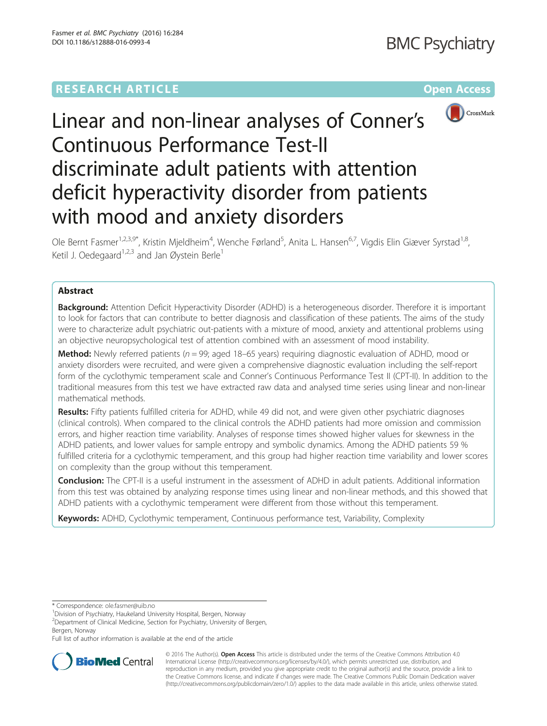

# Linear and non-linear analyses of Conner's Continuous Performance Test-II discriminate adult patients with attention deficit hyperactivity disorder from patients with mood and anxiety disorders

Ole Bernt Fasmer<sup>1,2,3,9\*</sup>, Kristin Mjeldheim<sup>4</sup>, Wenche Førland<sup>5</sup>, Anita L. Hansen<sup>6,7</sup>, Vigdis Elin Giæver Syrstad<sup>1,8</sup>, Ketil J. Oedegaard<sup>1,2,3</sup> and Jan Øystein Berle<sup>1</sup>

## Abstract

Background: Attention Deficit Hyperactivity Disorder (ADHD) is a heterogeneous disorder. Therefore it is important to look for factors that can contribute to better diagnosis and classification of these patients. The aims of the study were to characterize adult psychiatric out-patients with a mixture of mood, anxiety and attentional problems using an objective neuropsychological test of attention combined with an assessment of mood instability.

**Method:** Newly referred patients ( $n = 99$ ; aged 18–65 years) requiring diagnostic evaluation of ADHD, mood or anxiety disorders were recruited, and were given a comprehensive diagnostic evaluation including the self-report form of the cyclothymic temperament scale and Conner's Continuous Performance Test II (CPT-II). In addition to the traditional measures from this test we have extracted raw data and analysed time series using linear and non-linear mathematical methods.

Results: Fifty patients fulfilled criteria for ADHD, while 49 did not, and were given other psychiatric diagnoses (clinical controls). When compared to the clinical controls the ADHD patients had more omission and commission errors, and higher reaction time variability. Analyses of response times showed higher values for skewness in the ADHD patients, and lower values for sample entropy and symbolic dynamics. Among the ADHD patients 59 % fulfilled criteria for a cyclothymic temperament, and this group had higher reaction time variability and lower scores on complexity than the group without this temperament.

Conclusion: The CPT-II is a useful instrument in the assessment of ADHD in adult patients. Additional information from this test was obtained by analyzing response times using linear and non-linear methods, and this showed that ADHD patients with a cyclothymic temperament were different from those without this temperament.

Keywords: ADHD, Cyclothymic temperament, Continuous performance test, Variability, Complexity

\* Correspondence: [ole.fasmer@uib.no](mailto:ole.fasmer@uib.no) <sup>1</sup>

<sup>1</sup> Division of Psychiatry, Haukeland University Hospital, Bergen, Norway

<sup>2</sup> Department of Clinical Medicine, Section for Psychiatry, University of Bergen, Bergen, Norway

Full list of author information is available at the end of the article



© 2016 The Author(s). Open Access This article is distributed under the terms of the Creative Commons Attribution 4.0 International License [\(http://creativecommons.org/licenses/by/4.0/](http://creativecommons.org/licenses/by/4.0/)), which permits unrestricted use, distribution, and reproduction in any medium, provided you give appropriate credit to the original author(s) and the source, provide a link to the Creative Commons license, and indicate if changes were made. The Creative Commons Public Domain Dedication waiver [\(http://creativecommons.org/publicdomain/zero/1.0/](http://creativecommons.org/publicdomain/zero/1.0/)) applies to the data made available in this article, unless otherwise stated.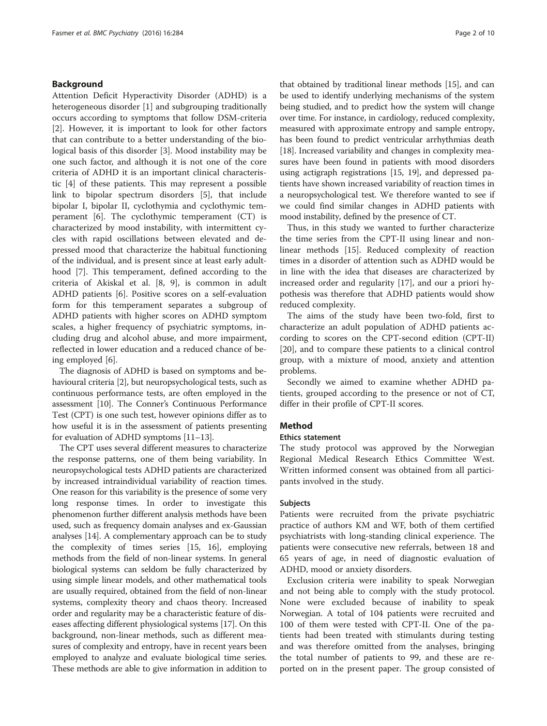## Background

Attention Deficit Hyperactivity Disorder (ADHD) is a heterogeneous disorder [[1](#page-8-0)] and subgrouping traditionally occurs according to symptoms that follow DSM-criteria [[2\]](#page-8-0). However, it is important to look for other factors that can contribute to a better understanding of the biological basis of this disorder [[3](#page-8-0)]. Mood instability may be one such factor, and although it is not one of the core criteria of ADHD it is an important clinical characteristic [\[4](#page-8-0)] of these patients. This may represent a possible link to bipolar spectrum disorders [\[5\]](#page-8-0), that include bipolar I, bipolar II, cyclothymia and cyclothymic temperament [[6\]](#page-8-0). The cyclothymic temperament (CT) is characterized by mood instability, with intermittent cycles with rapid oscillations between elevated and depressed mood that characterize the habitual functioning of the individual, and is present since at least early adulthood [\[7](#page-8-0)]. This temperament, defined according to the criteria of Akiskal et al. [[8, 9](#page-8-0)], is common in adult ADHD patients [\[6\]](#page-8-0). Positive scores on a self-evaluation form for this temperament separates a subgroup of ADHD patients with higher scores on ADHD symptom scales, a higher frequency of psychiatric symptoms, including drug and alcohol abuse, and more impairment, reflected in lower education and a reduced chance of being employed [[6\]](#page-8-0).

The diagnosis of ADHD is based on symptoms and behavioural criteria [\[2](#page-8-0)], but neuropsychological tests, such as continuous performance tests, are often employed in the assessment [[10](#page-8-0)]. The Conner's Continuous Performance Test (CPT) is one such test, however opinions differ as to how useful it is in the assessment of patients presenting for evaluation of ADHD symptoms [[11](#page-8-0)–[13\]](#page-8-0).

The CPT uses several different measures to characterize the response patterns, one of them being variability. In neuropsychological tests ADHD patients are characterized by increased intraindividual variability of reaction times. One reason for this variability is the presence of some very long response times. In order to investigate this phenomenon further different analysis methods have been used, such as frequency domain analyses and ex-Gaussian analyses [\[14\]](#page-8-0). A complementary approach can be to study the complexity of times series [[15](#page-8-0), [16\]](#page-8-0), employing methods from the field of non-linear systems. In general biological systems can seldom be fully characterized by using simple linear models, and other mathematical tools are usually required, obtained from the field of non-linear systems, complexity theory and chaos theory. Increased order and regularity may be a characteristic feature of diseases affecting different physiological systems [\[17\]](#page-8-0). On this background, non-linear methods, such as different measures of complexity and entropy, have in recent years been employed to analyze and evaluate biological time series. These methods are able to give information in addition to

that obtained by traditional linear methods [[15](#page-8-0)], and can be used to identify underlying mechanisms of the system being studied, and to predict how the system will change over time. For instance, in cardiology, reduced complexity, measured with approximate entropy and sample entropy, has been found to predict ventricular arrhythmias death [[18](#page-8-0)]. Increased variability and changes in complexity measures have been found in patients with mood disorders using actigraph registrations [\[15, 19\]](#page-8-0), and depressed patients have shown increased variability of reaction times in a neuropsychological test. We therefore wanted to see if we could find similar changes in ADHD patients with mood instability, defined by the presence of CT.

Thus, in this study we wanted to further characterize the time series from the CPT-II using linear and nonlinear methods [\[15](#page-8-0)]. Reduced complexity of reaction times in a disorder of attention such as ADHD would be in line with the idea that diseases are characterized by increased order and regularity [\[17](#page-8-0)], and our a priori hypothesis was therefore that ADHD patients would show reduced complexity.

The aims of the study have been two-fold, first to characterize an adult population of ADHD patients according to scores on the CPT-second edition (CPT-II) [[20\]](#page-8-0), and to compare these patients to a clinical control group, with a mixture of mood, anxiety and attention problems.

Secondly we aimed to examine whether ADHD patients, grouped according to the presence or not of CT, differ in their profile of CPT-II scores.

## Method

## Ethics statement

The study protocol was approved by the Norwegian Regional Medical Research Ethics Committee West. Written informed consent was obtained from all participants involved in the study.

## Subjects

Patients were recruited from the private psychiatric practice of authors KM and WF, both of them certified psychiatrists with long-standing clinical experience. The patients were consecutive new referrals, between 18 and 65 years of age, in need of diagnostic evaluation of ADHD, mood or anxiety disorders.

Exclusion criteria were inability to speak Norwegian and not being able to comply with the study protocol. None were excluded because of inability to speak Norwegian. A total of 104 patients were recruited and 100 of them were tested with CPT-II. One of the patients had been treated with stimulants during testing and was therefore omitted from the analyses, bringing the total number of patients to 99, and these are reported on in the present paper. The group consisted of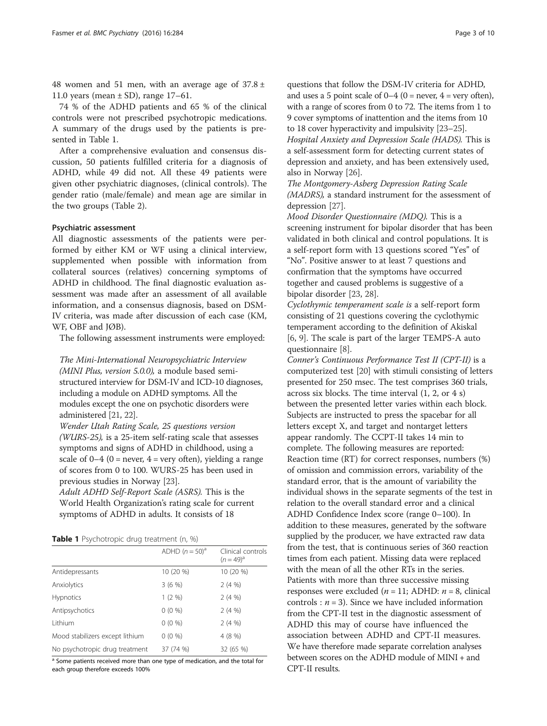48 women and 51 men, with an average age of  $37.8 \pm$ 11.0 years (mean  $\pm$  SD), range 17–61.

74 % of the ADHD patients and 65 % of the clinical controls were not prescribed psychotropic medications. A summary of the drugs used by the patients is presented in Table 1.

After a comprehensive evaluation and consensus discussion, 50 patients fulfilled criteria for a diagnosis of ADHD, while 49 did not. All these 49 patients were given other psychiatric diagnoses, (clinical controls). The gender ratio (male/female) and mean age are similar in the two groups (Table [2\)](#page-3-0).

## Psychiatric assessment

All diagnostic assessments of the patients were performed by either KM or WF using a clinical interview, supplemented when possible with information from collateral sources (relatives) concerning symptoms of ADHD in childhood. The final diagnostic evaluation assessment was made after an assessment of all available information, and a consensus diagnosis, based on DSM-IV criteria, was made after discussion of each case (KM, WF, OBF and JØB).

The following assessment instruments were employed:

The Mini-International Neuropsychiatric Interview (MINI Plus, version 5.0.0), a module based semi-

structured interview for DSM-IV and ICD-10 diagnoses, including a module on ADHD symptoms. All the modules except the one on psychotic disorders were administered [\[21,](#page-8-0) [22\]](#page-8-0).

Wender Utah Rating Scale, 25 questions version (WURS-25), is a 25-item self-rating scale that assesses symptoms and signs of ADHD in childhood, using a scale of  $0-4$  ( $0 =$  never,  $4 =$  very often), yielding a range of scores from 0 to 100. WURS-25 has been used in previous studies in Norway [[23](#page-8-0)].

Adult ADHD Self-Report Scale (ASRS). This is the World Health Organization's rating scale for current symptoms of ADHD in adults. It consists of 18

## Table 1 Psychotropic drug treatment (n, %)

|                                 | ADHD $(n = 50)^a$ | Clinical controls<br>$(n = 49)^{a}$ |
|---------------------------------|-------------------|-------------------------------------|
| Antidepressants                 | 10 (20 %)         | 10 (20 %)                           |
| Anxiolytics                     | 3(6%)             | 2(4%)                               |
| <b>Hypnotics</b>                | 1(2%)             | 2(4%)                               |
| Antipsychotics                  | $0(0\%)$          | 2(4%)                               |
| Lithium                         | $0(0\%)$          | 2(4%)                               |
| Mood stabilizers except lithium | $0(0\%)$          | 4(8%                                |
| No psychotropic drug treatment  | 37 (74 %)         | 32 (65 %)                           |

 $\frac{1}{a}$  Some patients received more than one type of medication, and the total for each group therefore exceeds 100%

questions that follow the DSM-IV criteria for ADHD, and uses a 5 point scale of  $0-4$  ( $0 =$  never,  $4 =$  very often), with a range of scores from 0 to 72. The items from 1 to 9 cover symptoms of inattention and the items from 10 to 18 cover hyperactivity and impulsivity [\[23](#page-8-0)–[25](#page-8-0)]. Hospital Anxiety and Depression Scale (HADS). This is a self-assessment form for detecting current states of depression and anxiety, and has been extensively used,

also in Norway [[26](#page-9-0)]. The Montgomery-Asberg Depression Rating Scale

(MADRS), a standard instrument for the assessment of depression [\[27](#page-9-0)].

Mood Disorder Questionnaire (MDQ). This is a screening instrument for bipolar disorder that has been validated in both clinical and control populations. It is a self-report form with 13 questions scored "Yes" of "No". Positive answer to at least 7 questions and confirmation that the symptoms have occurred together and caused problems is suggestive of a bipolar disorder [[23](#page-8-0), [28](#page-9-0)].

Cyclothymic temperament scale is a self-report form consisting of 21 questions covering the cyclothymic temperament according to the definition of Akiskal [[6,](#page-8-0) [9\]](#page-8-0). The scale is part of the larger TEMPS-A auto questionnaire [\[8\]](#page-8-0).

Conner's Continuous Performance Test II (CPT-II) is a computerized test [\[20\]](#page-8-0) with stimuli consisting of letters presented for 250 msec. The test comprises 360 trials, across six blocks. The time interval (1, 2, or 4 s) between the presented letter varies within each block. Subjects are instructed to press the spacebar for all letters except X, and target and nontarget letters appear randomly. The CCPT-II takes 14 min to complete. The following measures are reported: Reaction time (RT) for correct responses, numbers (%) of omission and commission errors, variability of the standard error, that is the amount of variability the individual shows in the separate segments of the test in relation to the overall standard error and a clinical ADHD Confidence Index score (range 0–100). In addition to these measures, generated by the software supplied by the producer, we have extracted raw data from the test, that is continuous series of 360 reaction times from each patient. Missing data were replaced with the mean of all the other RTs in the series. Patients with more than three successive missing responses were excluded ( $n = 11$ ; ADHD:  $n = 8$ , clinical controls :  $n = 3$ ). Since we have included information from the CPT-II test in the diagnostic assessment of ADHD this may of course have influenced the association between ADHD and CPT-II measures. We have therefore made separate correlation analyses between scores on the ADHD module of MINI + and CPT-II results.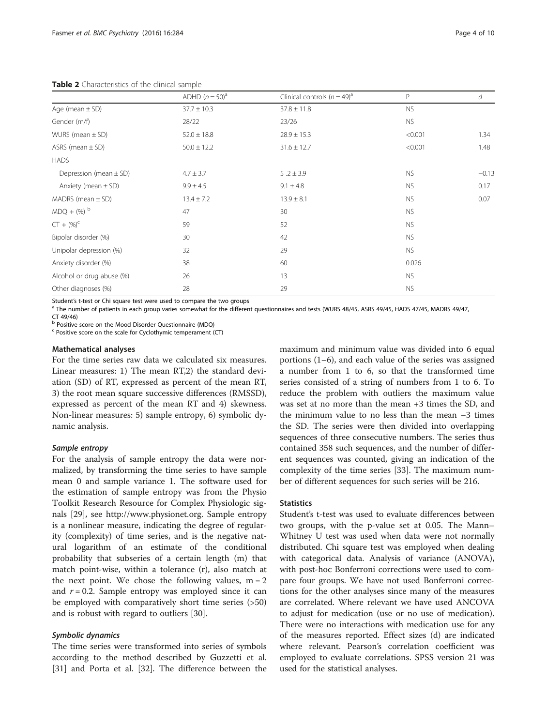<span id="page-3-0"></span>Table 2 Characteristics of the clinical sample

|                            | ADHD $(n = 50)^a$ | Clinical controls $(n = 49)^a$ | P         | d       |
|----------------------------|-------------------|--------------------------------|-----------|---------|
| Age (mean $\pm$ SD)        | $37.7 \pm 10.3$   | $37.8 \pm 11.8$                | <b>NS</b> |         |
| Gender (m/f)               | 28/22             | 23/26                          | <b>NS</b> |         |
| WURS (mean $\pm$ SD)       | $52.0 \pm 18.8$   | $28.9 \pm 15.3$                | < 0.001   | 1.34    |
| ASRS (mean $\pm$ SD)       | $50.0 \pm 12.2$   | $31.6 \pm 12.7$                | < 0.001   | 1.48    |
| <b>HADS</b>                |                   |                                |           |         |
| Depression (mean $\pm$ SD) | $4.7 \pm 3.7$     | $5.2 \pm 3.9$                  | <b>NS</b> | $-0.13$ |
| Anxiety (mean $\pm$ SD)    | $9.9 \pm 4.5$     | $9.1 \pm 4.8$                  | <b>NS</b> | 0.17    |
| MADRS (mean $\pm$ SD)      | $13.4 \pm 7.2$    | $13.9 \pm 8.1$                 | <b>NS</b> | 0.07    |
| $MDQ + (\%)$ <sup>b</sup>  | 47                | 30                             | <b>NS</b> |         |
| $CT + (%)^c$               | 59                | 52                             | <b>NS</b> |         |
| Bipolar disorder (%)       | 30                | 42                             | <b>NS</b> |         |
| Unipolar depression (%)    | 32                | 29                             | <b>NS</b> |         |
| Anxiety disorder (%)       | 38                | 60                             | 0.026     |         |
| Alcohol or drug abuse (%)  | 26                | 13                             | <b>NS</b> |         |
| Other diagnoses (%)        | 28                | 29                             | <b>NS</b> |         |

Student's t-test or Chi square test were used to compare the two groups<br><sup>a</sup> The number of patients in each group varies somewhat for the different questionnaires and tests (WURS 48/45, ASRS 49/45, HADS 47/45, MADRS 49/47, CT 49/46)

<sup>b</sup> Positive score on the Mood Disorder Questionnaire (MDQ)

 $c$  Positive score on the scale for Cyclothymic temperament (CT)

## Mathematical analyses

For the time series raw data we calculated six measures. Linear measures: 1) The mean RT,2) the standard deviation (SD) of RT, expressed as percent of the mean RT, 3) the root mean square successive differences (RMSSD), expressed as percent of the mean RT and 4) skewness. Non-linear measures: 5) sample entropy, 6) symbolic dynamic analysis.

## Sample entropy

For the analysis of sample entropy the data were normalized, by transforming the time series to have sample mean 0 and sample variance 1. The software used for the estimation of sample entropy was from the Physio Toolkit Research Resource for Complex Physiologic signals [[29\]](#page-9-0), see [http://www.physionet.org](http://www.physionet.org/). Sample entropy is a nonlinear measure, indicating the degree of regularity (complexity) of time series, and is the negative natural logarithm of an estimate of the conditional probability that subseries of a certain length (m) that match point-wise, within a tolerance (r), also match at the next point. We chose the following values,  $m = 2$ and  $r = 0.2$ . Sample entropy was employed since it can be employed with comparatively short time series (>50) and is robust with regard to outliers [[30\]](#page-9-0).

## Symbolic dynamics

The time series were transformed into series of symbols according to the method described by Guzzetti et al. [[31\]](#page-9-0) and Porta et al. [\[32](#page-9-0)]. The difference between the

maximum and minimum value was divided into 6 equal portions (1–6), and each value of the series was assigned a number from 1 to 6, so that the transformed time series consisted of a string of numbers from 1 to 6. To reduce the problem with outliers the maximum value was set at no more than the mean +3 times the SD, and the minimum value to no less than the mean –3 times the SD. The series were then divided into overlapping sequences of three consecutive numbers. The series thus contained 358 such sequences, and the number of different sequences was counted, giving an indication of the complexity of the time series [\[33](#page-9-0)]. The maximum number of different sequences for such series will be 216.

## **Statistics**

Student's t-test was used to evaluate differences between two groups, with the p-value set at 0.05. The Mann– Whitney U test was used when data were not normally distributed. Chi square test was employed when dealing with categorical data. Analysis of variance (ANOVA), with post-hoc Bonferroni corrections were used to compare four groups. We have not used Bonferroni corrections for the other analyses since many of the measures are correlated. Where relevant we have used ANCOVA to adjust for medication (use or no use of medication). There were no interactions with medication use for any of the measures reported. Effect sizes (d) are indicated where relevant. Pearson's correlation coefficient was employed to evaluate correlations. SPSS version 21 was used for the statistical analyses.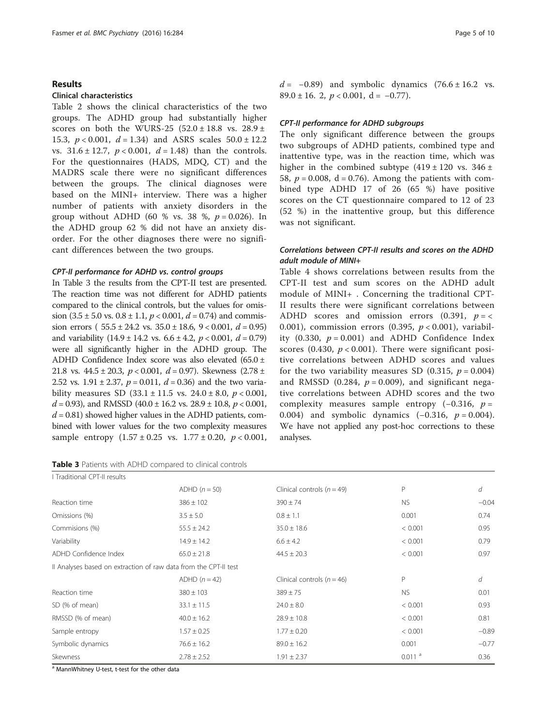## Results

## Clinical characteristics

Table [2](#page-3-0) shows the clinical characteristics of the two groups. The ADHD group had substantially higher scores on both the WURS-25 ( $52.0 \pm 18.8$  vs.  $28.9 \pm$ 15.3,  $p < 0.001$ ,  $d = 1.34$ ) and ASRS scales  $50.0 \pm 12.2$ vs.  $31.6 \pm 12.7$ ,  $p < 0.001$ ,  $d = 1.48$ ) than the controls. For the questionnaires (HADS, MDQ, CT) and the MADRS scale there were no significant differences between the groups. The clinical diagnoses were based on the MINI+ interview. There was a higher number of patients with anxiety disorders in the group without ADHD (60 % vs. 38 %,  $p = 0.026$ ). In the ADHD group 62 % did not have an anxiety disorder. For the other diagnoses there were no significant differences between the two groups.

## CPT-II performance for ADHD vs. control groups

In Table 3 the results from the CPT-II test are presented. The reaction time was not different for ADHD patients compared to the clinical controls, but the values for omission  $(3.5 \pm 5.0 \text{ vs. } 0.8 \pm 1.1, p < 0.001, d = 0.74)$  and commission errors (  $55.5 \pm 24.2$  vs.  $35.0 \pm 18.6$ ,  $9 < 0.001$ ,  $d = 0.95$ ) and variability  $(14.9 \pm 14.2 \text{ vs. } 6.6 \pm 4.2, p < 0.001, d = 0.79)$ were all significantly higher in the ADHD group. The ADHD Confidence Index score was also elevated (65.0 ± 21.8 vs.  $44.5 \pm 20.3$ ,  $p < 0.001$ ,  $d = 0.97$ ). Skewness  $(2.78 \pm$ 2.52 vs. 1.91  $\pm$  2.37,  $p = 0.011$ ,  $d = 0.36$ ) and the two variability measures SD  $(33.1 \pm 11.5 \text{ vs. } 24.0 \pm 8.0, p < 0.001,$  $d = 0.93$ ), and RMSSD (40.0 ± 16.2 vs. 28.9 ± 10.8,  $p < 0.001$ ,  $d = 0.81$ ) showed higher values in the ADHD patients, combined with lower values for the two complexity measures sample entropy  $(1.57 \pm 0.25 \text{ vs. } 1.77 \pm 0.20, \ p < 0.001,$ 

Table 3 Patients with ADHD compared to clinical controls

 $d = -0.89$ ) and symbolic dynamics (76.6 ± 16.2 vs.  $89.0 \pm 16$ . 2,  $p < 0.001$ , d = -0.77).

## CPT-II performance for ADHD subgroups

The only significant difference between the groups two subgroups of ADHD patients, combined type and inattentive type, was in the reaction time, which was higher in the combined subtype  $(419 \pm 120 \text{ vs. } 346 \pm 120)$ 58,  $p = 0.008$ , d = 0.76). Among the patients with combined type ADHD 17 of 26 (65 %) have positive scores on the CT questionnaire compared to 12 of 23 (52 %) in the inattentive group, but this difference was not significant.

## Correlations between CPT-II results and scores on the ADHD adult module of MINI+

Table [4](#page-5-0) shows correlations between results from the CPT-II test and sum scores on the ADHD adult module of MINI+ . Concerning the traditional CPT-II results there were significant correlations between ADHD scores and omission errors  $(0.391, p = \leq$ 0.001), commission errors (0.395,  $p < 0.001$ ), variability  $(0.330, p = 0.001)$  and ADHD Confidence Index scores (0.430,  $p < 0.001$ ). There were significant positive correlations between ADHD scores and values for the two variability measures SD (0.315,  $p = 0.004$ ) and RMSSD (0.284,  $p = 0.009$ ), and significant negative correlations between ADHD scores and the two complexity measures sample entropy  $(-0.316, p =$ 0.004) and symbolic dynamics  $(-0.316, p = 0.004)$ . We have not applied any post-hoc corrections to these analyses.

| I Traditional CPT-II results                                     |                 |                                |                      |         |
|------------------------------------------------------------------|-----------------|--------------------------------|----------------------|---------|
|                                                                  | $ADHD(n=50)$    | Clinical controls ( $n = 49$ ) | P                    | d       |
| Reaction time                                                    | $386 \pm 102$   | $390 \pm 74$                   | <b>NS</b>            | $-0.04$ |
| Omissions (%)                                                    | $3.5 \pm 5.0$   | $0.8 \pm 1.1$                  | 0.001                | 0.74    |
| Commisions (%)                                                   | $55.5 \pm 24.2$ | $35.0 \pm 18.6$                | < 0.001              | 0.95    |
| Variability                                                      | $14.9 \pm 14.2$ | $6.6 \pm 4.2$                  | < 0.001              | 0.79    |
| ADHD Confidence Index                                            | $65.0 \pm 21.8$ | $44.5 \pm 20.3$                | < 0.001              | 0.97    |
| II Analyses based on extraction of raw data from the CPT-II test |                 |                                |                      |         |
|                                                                  | $ADHD (n=42)$   | Clinical controls ( $n = 46$ ) | P                    | d       |
| Reaction time                                                    | $380 \pm 103$   | $389 \pm 75$                   | <b>NS</b>            | 0.01    |
| SD (% of mean)                                                   | $33.1 \pm 11.5$ | $24.0 \pm 8.0$                 | < 0.001              | 0.93    |
| RMSSD (% of mean)                                                | $40.0 \pm 16.2$ | $28.9 \pm 10.8$                | < 0.001              | 0.81    |
| Sample entropy                                                   | $1.57 \pm 0.25$ | $1.77 \pm 0.20$                | < 0.001              | $-0.89$ |
| Symbolic dynamics                                                | $76.6 \pm 16.2$ | $89.0 \pm 16.2$                | 0.001                | $-0.77$ |
| Skewness                                                         | $2.78 \pm 2.52$ | $1.91 \pm 2.37$                | $0.011$ <sup>a</sup> | 0.36    |

a MannWhitney U-test, t-test for the other data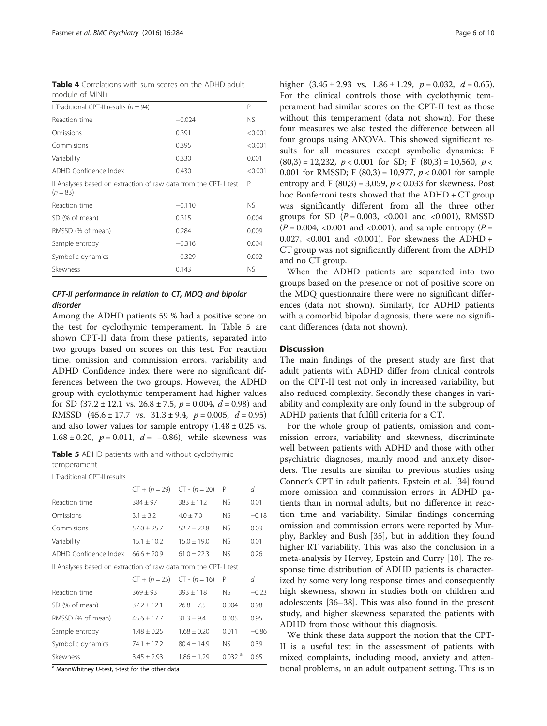<span id="page-5-0"></span>

| <b>Table 4</b> Correlations with sum scores on the ADHD adult |  |  |  |  |
|---------------------------------------------------------------|--|--|--|--|
| module of MINI+                                               |  |  |  |  |

| I Traditional CPT-II results ( $n = 94$ )                                      |          | P         |
|--------------------------------------------------------------------------------|----------|-----------|
| Reaction time                                                                  | $-0.024$ | NS.       |
| Omissions                                                                      | 0.391    | < 0.001   |
| Commisions                                                                     | 0.395    | < 0.001   |
| Variability                                                                    | 0.330    | 0.001     |
| ADHD Confidence Index                                                          | 0.430    | < 0.001   |
| Il Analyses based on extraction of raw data from the CPT-II test<br>$(n = 83)$ |          | P         |
| Reaction time                                                                  | $-0.110$ | <b>NS</b> |
| SD (% of mean)                                                                 | 0.315    | 0.004     |
| RMSSD (% of mean)                                                              | 0.284    | 0.009     |
| Sample entropy                                                                 | $-0.316$ | 0.004     |
| Symbolic dynamics                                                              | $-0.329$ | 0.002     |
| Skewness                                                                       | 0.143    | <b>NS</b> |

## CPT-II performance in relation to CT, MDQ and bipolar disorder

Among the ADHD patients 59 % had a positive score on the test for cyclothymic temperament. In Table 5 are shown CPT-II data from these patients, separated into two groups based on scores on this test. For reaction time, omission and commission errors, variability and ADHD Confidence index there were no significant differences between the two groups. However, the ADHD group with cyclothymic temperament had higher values for SD  $(37.2 \pm 12.1 \text{ vs. } 26.8 \pm 7.5, p = 0.004, d = 0.98)$  and RMSSD  $(45.6 \pm 17.7 \text{ vs. } 31.3 \pm 9.4, p = 0.005, d = 0.95)$ and also lower values for sample entropy  $(1.48 \pm 0.25 \text{ vs.})$ 1.68 ± 0.20,  $p = 0.011$ ,  $d = -0.86$ ), while skewness was

Table 5 ADHD patients with and without cyclothymic temperament

| I Traditional CPT-II results                                     |                 |                 |                      |         |  |
|------------------------------------------------------------------|-----------------|-----------------|----------------------|---------|--|
|                                                                  | $CT + (n = 29)$ | $CT - (n = 20)$ | P                    | d       |  |
| Reaction time                                                    | $384 \pm 97$    | $383 \pm 112$   | NS.                  | 0.01    |  |
| Omissions                                                        | $3.1 \pm 3.2$   | $4.0 \pm 7.0$   | NS.                  | $-0.18$ |  |
| Commisions                                                       | $57.0 \pm 25.7$ | $52.7 \pm 22.8$ | NS.                  | 0.03    |  |
| Variability                                                      | $15.1 \pm 10.2$ | $15.0 \pm 19.0$ | NS.                  | 0.01    |  |
| ADHD Confidence Index                                            | $66.6 \pm 20.9$ | $61.0 \pm 22.3$ | <b>NS</b>            | 0.26    |  |
| II Analyses based on extraction of raw data from the CPT-II test |                 |                 |                      |         |  |
|                                                                  | $CT + (n = 25)$ | $CT - (n = 16)$ | Ρ                    | d       |  |
| Reaction time                                                    | $369 \pm 93$    | $393 \pm 118$   | NS.                  | $-0.23$ |  |
| SD (% of mean)                                                   | $37.2 \pm 12.1$ | $26.8 \pm 7.5$  | 0.004                | 0.98    |  |
| RMSSD (% of mean)                                                | $45.6 \pm 17.7$ | $31.3 \pm 9.4$  | 0.005                | 0.95    |  |
| Sample entropy                                                   | $1.48 \pm 0.25$ | $1.68 \pm 0.20$ | 0.011                | $-0.86$ |  |
| Symbolic dynamics                                                | $74.1 \pm 17.2$ | $80.4 \pm 14.9$ | NS.                  | 0.39    |  |
| Skewness                                                         | $3.45 \pm 2.93$ | $1.86 \pm 1.29$ | $0.032$ <sup>a</sup> | 0.65    |  |
|                                                                  |                 |                 |                      |         |  |

a MannWhitney U-test, t-test for the other data

higher  $(3.45 \pm 2.93 \text{ vs. } 1.86 \pm 1.29, p = 0.032, d = 0.65)$ . For the clinical controls those with cyclothymic temperament had similar scores on the CPT-II test as those without this temperament (data not shown). For these four measures we also tested the difference between all four groups using ANOVA. This showed significant results for all measures except symbolic dynamics: F  $(80,3) = 12,232, p < 0.001$  for SD; F  $(80,3) = 10,560, p <$ 0.001 for RMSSD; F  $(80,3) = 10,977$ ,  $p < 0.001$  for sample entropy and F  $(80,3) = 3,059$ ,  $p < 0.033$  for skewness. Post hoc Bonferroni tests showed that the ADHD + CT group was significantly different from all the three other groups for SD  $(P = 0.003, \langle 0.001 \rangle)$  and  $\langle 0.001 \rangle$ , RMSSD  $(P = 0.004, \langle 0.001 \rangle)$  and  $\langle 0.001 \rangle$ , and sample entropy  $(P = 0.004, \langle 0.001 \rangle)$ 0.027, <0.001 and <0.001). For skewness the ADHD + CT group was not significantly different from the ADHD and no CT group.

When the ADHD patients are separated into two groups based on the presence or not of positive score on the MDQ questionnaire there were no significant differences (data not shown). Similarly, for ADHD patients with a comorbid bipolar diagnosis, there were no significant differences (data not shown).

## **Discussion**

The main findings of the present study are first that adult patients with ADHD differ from clinical controls on the CPT-II test not only in increased variability, but also reduced complexity. Secondly these changes in variability and complexity are only found in the subgroup of ADHD patients that fulfill criteria for a CT.

For the whole group of patients, omission and commission errors, variability and skewness, discriminate well between patients with ADHD and those with other psychiatric diagnoses, mainly mood and anxiety disorders. The results are similar to previous studies using Conner's CPT in adult patients. Epstein et al. [\[34](#page-9-0)] found more omission and commission errors in ADHD patients than in normal adults, but no difference in reaction time and variability. Similar findings concerning omission and commission errors were reported by Murphy, Barkley and Bush [[35\]](#page-9-0), but in addition they found higher RT variability. This was also the conclusion in a meta-analysis by Hervey, Epstein and Curry [[10\]](#page-8-0). The response time distribution of ADHD patients is characterized by some very long response times and consequently high skewness, shown in studies both on children and adolescents [\[36](#page-9-0)–[38\]](#page-9-0). This was also found in the present study, and higher skewness separated the patients with ADHD from those without this diagnosis.

We think these data support the notion that the CPT-II is a useful test in the assessment of patients with mixed complaints, including mood, anxiety and attentional problems, in an adult outpatient setting. This is in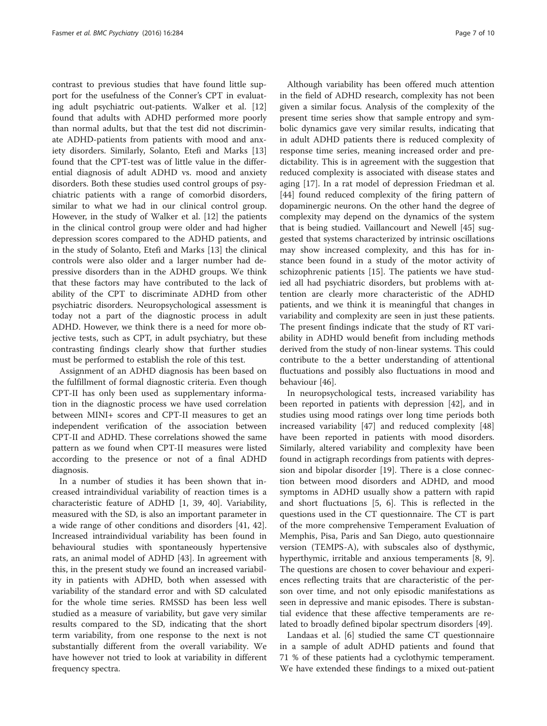contrast to previous studies that have found little support for the usefulness of the Conner's CPT in evaluating adult psychiatric out-patients. Walker et al. [[12](#page-8-0)] found that adults with ADHD performed more poorly than normal adults, but that the test did not discriminate ADHD-patients from patients with mood and anxiety disorders. Similarly, Solanto, Etefi and Marks [[13](#page-8-0)] found that the CPT-test was of little value in the differential diagnosis of adult ADHD vs. mood and anxiety disorders. Both these studies used control groups of psychiatric patients with a range of comorbid disorders, similar to what we had in our clinical control group. However, in the study of Walker et al. [\[12\]](#page-8-0) the patients in the clinical control group were older and had higher depression scores compared to the ADHD patients, and in the study of Solanto, Etefi and Marks [\[13](#page-8-0)] the clinical controls were also older and a larger number had depressive disorders than in the ADHD groups. We think that these factors may have contributed to the lack of ability of the CPT to discriminate ADHD from other psychiatric disorders. Neuropsychological assessment is today not a part of the diagnostic process in adult ADHD. However, we think there is a need for more objective tests, such as CPT, in adult psychiatry, but these contrasting findings clearly show that further studies must be performed to establish the role of this test.

Assignment of an ADHD diagnosis has been based on the fulfillment of formal diagnostic criteria. Even though CPT-II has only been used as supplementary information in the diagnostic process we have used correlation between MINI+ scores and CPT-II measures to get an independent verification of the association between CPT-II and ADHD. These correlations showed the same pattern as we found when CPT-II measures were listed according to the presence or not of a final ADHD diagnosis.

In a number of studies it has been shown that increased intraindividual variability of reaction times is a characteristic feature of ADHD [\[1](#page-8-0), [39, 40\]](#page-9-0). Variability, measured with the SD, is also an important parameter in a wide range of other conditions and disorders [[41, 42](#page-9-0)]. Increased intraindividual variability has been found in behavioural studies with spontaneously hypertensive rats, an animal model of ADHD [\[43](#page-9-0)]. In agreement with this, in the present study we found an increased variability in patients with ADHD, both when assessed with variability of the standard error and with SD calculated for the whole time series. RMSSD has been less well studied as a measure of variability, but gave very similar results compared to the SD, indicating that the short term variability, from one response to the next is not substantially different from the overall variability. We have however not tried to look at variability in different frequency spectra.

Although variability has been offered much attention in the field of ADHD research, complexity has not been given a similar focus. Analysis of the complexity of the present time series show that sample entropy and symbolic dynamics gave very similar results, indicating that in adult ADHD patients there is reduced complexity of response time series, meaning increased order and predictability. This is in agreement with the suggestion that reduced complexity is associated with disease states and aging [\[17](#page-8-0)]. In a rat model of depression Friedman et al. [[44\]](#page-9-0) found reduced complexity of the firing pattern of dopaminergic neurons. On the other hand the degree of complexity may depend on the dynamics of the system that is being studied. Vaillancourt and Newell [\[45](#page-9-0)] suggested that systems characterized by intrinsic oscillations may show increased complexity, and this has for instance been found in a study of the motor activity of schizophrenic patients [\[15](#page-8-0)]. The patients we have studied all had psychiatric disorders, but problems with attention are clearly more characteristic of the ADHD patients, and we think it is meaningful that changes in variability and complexity are seen in just these patients. The present findings indicate that the study of RT variability in ADHD would benefit from including methods derived from the study of non-linear systems. This could contribute to the a better understanding of attentional fluctuations and possibly also fluctuations in mood and behaviour [\[46\]](#page-9-0).

In neuropsychological tests, increased variability has been reported in patients with depression [\[42](#page-9-0)], and in studies using mood ratings over long time periods both increased variability [\[47](#page-9-0)] and reduced complexity [[48](#page-9-0)] have been reported in patients with mood disorders. Similarly, altered variability and complexity have been found in actigraph recordings from patients with depression and bipolar disorder [[19\]](#page-8-0). There is a close connection between mood disorders and ADHD, and mood symptoms in ADHD usually show a pattern with rapid and short fluctuations [\[5](#page-8-0), [6\]](#page-8-0). This is reflected in the questions used in the CT questionnaire. The CT is part of the more comprehensive Temperament Evaluation of Memphis, Pisa, Paris and San Diego, auto questionnaire version (TEMPS-A), with subscales also of dysthymic, hyperthymic, irritable and anxious temperaments [\[8](#page-8-0), [9](#page-8-0)]. The questions are chosen to cover behaviour and experiences reflecting traits that are characteristic of the person over time, and not only episodic manifestations as seen in depressive and manic episodes. There is substantial evidence that these affective temperaments are related to broadly defined bipolar spectrum disorders [\[49](#page-9-0)].

Landaas et al. [\[6](#page-8-0)] studied the same CT questionnaire in a sample of adult ADHD patients and found that 71 % of these patients had a cyclothymic temperament. We have extended these findings to a mixed out-patient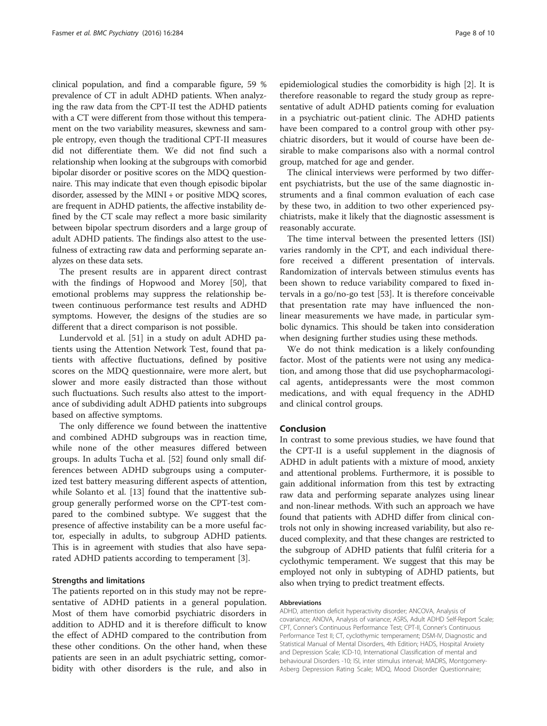clinical population, and find a comparable figure, 59 % prevalence of CT in adult ADHD patients. When analyzing the raw data from the CPT-II test the ADHD patients with a CT were different from those without this temperament on the two variability measures, skewness and sample entropy, even though the traditional CPT-II measures did not differentiate them. We did not find such a relationship when looking at the subgroups with comorbid bipolar disorder or positive scores on the MDQ questionnaire. This may indicate that even though episodic bipolar disorder, assessed by the MINI + or positive MDQ scores, are frequent in ADHD patients, the affective instability defined by the CT scale may reflect a more basic similarity between bipolar spectrum disorders and a large group of adult ADHD patients. The findings also attest to the usefulness of extracting raw data and performing separate analyzes on these data sets.

The present results are in apparent direct contrast with the findings of Hopwood and Morey [[50](#page-9-0)], that emotional problems may suppress the relationship between continuous performance test results and ADHD symptoms. However, the designs of the studies are so different that a direct comparison is not possible.

Lundervold et al. [\[51](#page-9-0)] in a study on adult ADHD patients using the Attention Network Test, found that patients with affective fluctuations, defined by positive scores on the MDQ questionnaire, were more alert, but slower and more easily distracted than those without such fluctuations. Such results also attest to the importance of subdividing adult ADHD patients into subgroups based on affective symptoms.

The only difference we found between the inattentive and combined ADHD subgroups was in reaction time, while none of the other measures differed between groups. In adults Tucha et al. [\[52](#page-9-0)] found only small differences between ADHD subgroups using a computerized test battery measuring different aspects of attention, while Solanto et al. [\[13](#page-8-0)] found that the inattentive subgroup generally performed worse on the CPT-test compared to the combined subtype. We suggest that the presence of affective instability can be a more useful factor, especially in adults, to subgroup ADHD patients. This is in agreement with studies that also have separated ADHD patients according to temperament [\[3](#page-8-0)].

## Strengths and limitations

The patients reported on in this study may not be representative of ADHD patients in a general population. Most of them have comorbid psychiatric disorders in addition to ADHD and it is therefore difficult to know the effect of ADHD compared to the contribution from these other conditions. On the other hand, when these patients are seen in an adult psychiatric setting, comorbidity with other disorders is the rule, and also in

epidemiological studies the comorbidity is high [\[2](#page-8-0)]. It is therefore reasonable to regard the study group as representative of adult ADHD patients coming for evaluation in a psychiatric out-patient clinic. The ADHD patients have been compared to a control group with other psychiatric disorders, but it would of course have been desirable to make comparisons also with a normal control group, matched for age and gender.

The clinical interviews were performed by two different psychiatrists, but the use of the same diagnostic instruments and a final common evaluation of each case by these two, in addition to two other experienced psychiatrists, make it likely that the diagnostic assessment is reasonably accurate.

The time interval between the presented letters (ISI) varies randomly in the CPT, and each individual therefore received a different presentation of intervals. Randomization of intervals between stimulus events has been shown to reduce variability compared to fixed intervals in a go/no-go test [\[53\]](#page-9-0). It is therefore conceivable that presentation rate may have influenced the nonlinear measurements we have made, in particular symbolic dynamics. This should be taken into consideration when designing further studies using these methods.

We do not think medication is a likely confounding factor. Most of the patients were not using any medication, and among those that did use psychopharmacological agents, antidepressants were the most common medications, and with equal frequency in the ADHD and clinical control groups.

## Conclusion

In contrast to some previous studies, we have found that the CPT-II is a useful supplement in the diagnosis of ADHD in adult patients with a mixture of mood, anxiety and attentional problems. Furthermore, it is possible to gain additional information from this test by extracting raw data and performing separate analyzes using linear and non-linear methods. With such an approach we have found that patients with ADHD differ from clinical controls not only in showing increased variability, but also reduced complexity, and that these changes are restricted to the subgroup of ADHD patients that fulfil criteria for a cyclothymic temperament. We suggest that this may be employed not only in subtyping of ADHD patients, but also when trying to predict treatment effects.

### Abbreviations

ADHD, attention deficit hyperactivity disorder; ANCOVA, Analysis of covariance; ANOVA, Analysis of variance; ASRS, Adult ADHD Self-Report Scale; CPT, Conner's Continuous Performance Test; CPT-II, Conner's Continuous Performance Test II; CT, cyclothymic temperament; DSM-IV, Diagnostic and Statistical Manual of Mental Disorders, 4th Edition; HADS, Hospital Anxiety and Depression Scale; ICD-10, International Classification of mental and behavioural Disorders -10; ISI, inter stimulus interval; MADRS, Montgomery-Asberg Depression Rating Scale; MDQ, Mood Disorder Questionnaire;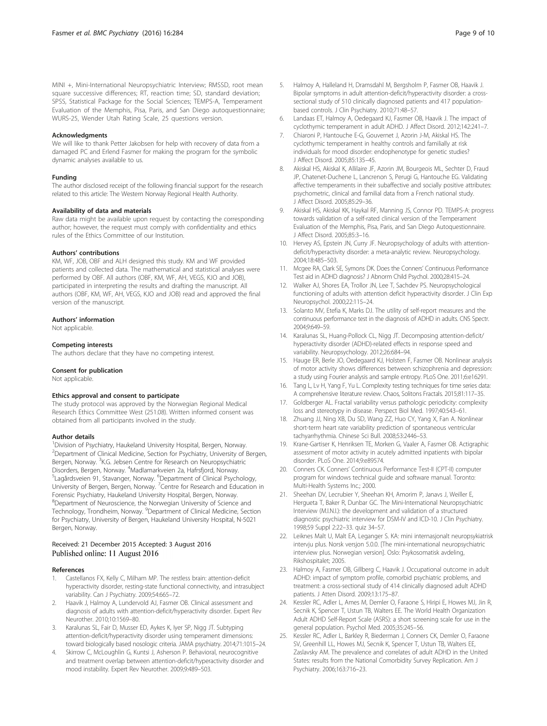<span id="page-8-0"></span>MINI +, Mini-International Neuropsychiatric Interview; RMSSD, root mean square successive differences; RT, reaction time; SD, standard deviation; SPSS, Statistical Package for the Social Sciences; TEMPS-A, Temperament Evaluation of the Memphis, Pisa, Paris, and San Diego autoquestionnaire; WURS-25, Wender Utah Rating Scale, 25 questions version.

#### Acknowledgments

We will like to thank Petter Jakobsen for help with recovery of data from a damaged PC and Erlend Fasmer for making the program for the symbolic dynamic analyses available to us.

#### Funding

The author disclosed receipt of the following financial support for the research related to this article: The Western Norway Regional Health Authority.

## Availability of data and materials

Raw data might be available upon request by contacting the corresponding author; however, the request must comply with confidentiality and ethics rules of the Ethics Committee of our Institution.

#### Authors' contributions

KM, WF, JOB, OBF and ALH designed this study. KM and WF provided patients and collected data. The mathematical and statistical analyses were performed by OBF. All authors (OBF, KM, WF, AH, VEGS, KJO and JOB), participated in interpreting the results and drafting the manuscript. All authors (OBF, KM, WF, AH, VEGS, KJO and JOB) read and approved the final version of the manuscript.

## Authors' information

Not applicable.

#### Competing interests

The authors declare that they have no competing interest.

## Consent for publication

Not applicable.

## Ethics approval and consent to participate

The study protocol was approved by the Norwegian Regional Medical Research Ethics Committee West (251.08). Written informed consent was obtained from all participants involved in the study.

#### Author details

<sup>1</sup> Division of Psychiatry, Haukeland University Hospital, Bergen, Norway. <sup>2</sup>Department of Clinical Medicine, Section for Psychiatry, University of Bergen, Bergen, Norway. <sup>3</sup>K.G. Jebsen Centre for Research on Neuropsychiatric Disorders, Bergen, Norway. <sup>4</sup>Madlamarkveien 2a, Hafrsfjord, Norway.<br><sup>5</sup>Lagårdsveien 91. Stavanger, Norway. <sup>6</sup>Department of Clinical Psych Lagårdsveien 91, Stavanger, Norway. <sup>6</sup>Department of Clinical Psychology, University of Bergen, Bergen, Norway. <sup>7</sup> Centre for Research and Education in Forensic Psychiatry, Haukeland University Hospital, Bergen, Norway. <sup>8</sup>Department of Neuroscience, the Norwegian University of Science and Technology, Trondheim, Norway. <sup>9</sup>Department of Clinical Medicine, Section for Psychiatry, University of Bergen, Haukeland University Hospital, N-5021 Bergen, Norway.

## Received: 21 December 2015 Accepted: 3 August 2016 Published online: 11 August 2016

#### References

- Castellanos FX, Kelly C, Milham MP. The restless brain: attention-deficit hyperactivity disorder, resting-state functional connectivity, and intrasubject variability. Can J Psychiatry. 2009;54:665–72.
- 2. Haavik J, Halmoy A, Lundervold AJ, Fasmer OB. Clinical assessment and diagnosis of adults with attention-deficit/hyperactivity disorder. Expert Rev Neurother. 2010;10:1569–80.
- 3. Karalunas SL, Fair D, Musser ED, Aykes K, Iyer SP, Nigg JT. Subtyping attention-deficit/hyperactivity disorder using temperament dimensions: toward biologically based nosologic criteria. JAMA psychiatry. 2014;71:1015–24.
- 4. Skirrow C, McLoughlin G, Kuntsi J, Asherson P. Behavioral, neurocognitive and treatment overlap between attention-deficit/hyperactivity disorder and mood instability. Expert Rev Neurother. 2009;9:489–503.
- 5. Halmoy A, Halleland H, Dramsdahl M, Bergsholm P, Fasmer OB, Haavik J. Bipolar symptoms in adult attention-deficit/hyperactivity disorder: a crosssectional study of 510 clinically diagnosed patients and 417 populationbased controls. J Clin Psychiatry. 2010;71:48–57.
- 6. Landaas ET, Halmoy A, Oedegaard KJ, Fasmer OB, Haavik J. The impact of cyclothymic temperament in adult ADHD. J Affect Disord. 2012;142:241–7.
- 7. Chiaroni P, Hantouche E-G, Gouvernet J, Azorin J-M, Akiskal HS. The cyclothymic temperament in healthy controls and familially at risk individuals for mood disorder: endophenotype for genetic studies? J Affect Disord. 2005;85:135–45.
- 8. Akiskal HS, Akiskal K, Allilaire JF, Azorin JM, Bourgeois ML, Sechter D, Fraud JP, Chatenet-Duchene L, Lancrenon S, Perugi G, Hantouche EG. Validating affective temperaments in their subaffective and socially positive attributes: psychometric, clinical and familial data from a French national study. J Affect Disord. 2005;85:29–36.
- 9. Akiskal HS, Akiskal KK, Haykal RF, Manning JS, Connor PD. TEMPS-A: progress towards validation of a self-rated clinical version of the Temperament Evaluation of the Memphis, Pisa, Paris, and San Diego Autoquestionnaire. J Affect Disord. 2005;85:3–16.
- 10. Hervey AS, Epstein JN, Curry JF. Neuropsychology of adults with attentiondeficit/hyperactivity disorder: a meta-analytic review. Neuropsychology. 2004;18:485–503.
- 11. Mcgee RA, Clark SE, Symons DK. Does the Conners' Continuous Performance Test aid in ADHD diagnosis? J Abnorm Child Psychol. 2000;28:415–24.
- 12. Walker AJ, Shores EA, Trollor JN, Lee T, Sachdev PS. Neuropsychological functioning of adults with attention deficit hyperactivity disorder. J Clin Exp Neuropsychol. 2000;22:115–24.
- 13. Solanto MV, Etefia K, Marks DJ. The utility of self-report measures and the continuous performance test in the diagnosis of ADHD in adults. CNS Spectr. 2004;9:649–59.
- 14. Karalunas SL, Huang-Pollock CL, Nigg JT. Decomposing attention-deficit/ hyperactivity disorder (ADHD)-related effects in response speed and variability. Neuropsychology. 2012;26:684–94.
- 15. Hauge ER, Berle JO, Oedegaard KJ, Holsten F, Fasmer OB. Nonlinear analysis of motor activity shows differences between schizophrenia and depression: a study using Fourier analysis and sample entropy. PLoS One. 2011;6:e16291.
- 16. Tang L, Lv H, Yang F, Yu L. Complexity testing techniques for time series data: A comprehensive literature review. Chaos, Solitons Fractals. 2015;81:117–35.
- 17. Goldberger AL. Fractal variability versus pathologic periodicity: complexity loss and stereotypy in disease. Perspect Biol Med. 1997;40:543–61.
- 18. Zhuang JJ, Ning XB, Du SD, Wang ZZ, Huo CY, Yang X, Fan A. Nonlinear short-term heart rate variability prediction of spontaneous ventricular tachyarrhythmia. Chinese Sci Bull. 2008;53:2446–53.
- 19. Krane-Gartiser K, Henriksen TE, Morken G, Vaaler A, Fasmer OB. Actigraphic assessment of motor activity in acutely admitted inpatients with bipolar disorder. PLoS One. 2014;9:e89574.
- 20. Conners CK. Conners' Continuous Performance Test-II (CPT-II) computer program for windows technical guide and software manual. Toronto: Multi-Health Systems Inc.; 2000.
- 21. Sheehan DV, Lecrubier Y, Sheehan KH, Amorim P, Janavs J, Weiller E, Hergueta T, Baker R, Dunbar GC. The Mini-International Neuropsychiatric Interview (M.I.N.I.): the development and validation of a structured diagnostic psychiatric interview for DSM-IV and ICD-10. J Clin Psychiatry. 1998;59 Suppl 2:22–33. quiz 34–57.
- 22. Leiknes Malt U, Malt EA, Leganger S. KA: mini internasjonalt neuropsykiatrisk intervju plus. Norsk versjon 5.0.0. [The mini-international neuropsychiatric interview plus. Norwegian version]. Oslo: Psykosomatisk avdeling, Rikshospitalet; 2005.
- 23. Halmoy A, Fasmer OB, Gillberg C, Haavik J. Occupational outcome in adult ADHD: impact of symptom profile, comorbid psychiatric problems, and treatment: a cross-sectional study of 414 clinically diagnosed adult ADHD patients. J Atten Disord. 2009;13:175–87.
- 24. Kessler RC, Adler L, Ames M, Demler O, Faraone S, Hiripi E, Howes MJ, Jin R, Secnik K, Spencer T, Ustun TB, Walters EE. The World Health Organization Adult ADHD Self-Report Scale (ASRS): a short screening scale for use in the general population. Psychol Med. 2005;35:245–56.
- 25. Kessler RC, Adler L, Barkley R, Biederman J, Conners CK, Demler O, Faraone SV, Greenhill LL, Howes MJ, Secnik K, Spencer T, Ustun TB, Walters EE, Zaslavsky AM. The prevalence and correlates of adult ADHD in the United States: results from the National Comorbidity Survey Replication. Am J Psychiatry. 2006;163:716–23.